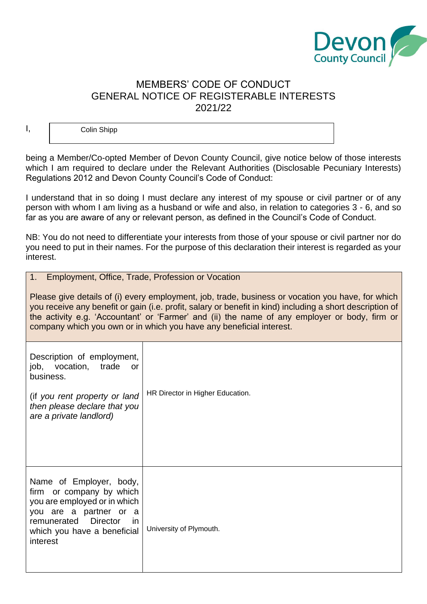

# MEMBERS' CODE OF CONDUCT GENERAL NOTICE OF REGISTERABLE INTERESTS 2021/22

Colin Shipp

I,

being a Member/Co-opted Member of Devon County Council, give notice below of those interests which I am required to declare under the Relevant Authorities (Disclosable Pecuniary Interests) Regulations 2012 and Devon County Council's Code of Conduct:

I understand that in so doing I must declare any interest of my spouse or civil partner or of any person with whom I am living as a husband or wife and also, in relation to categories 3 - 6, and so far as you are aware of any or relevant person, as defined in the Council's Code of Conduct.

NB: You do not need to differentiate your interests from those of your spouse or civil partner nor do you need to put in their names. For the purpose of this declaration their interest is regarded as your interest.

| 1. Employment, Office, Trade, Profession or Vocation                                                                                                                                                                                                                                                                                                                                   |                                  |  |
|----------------------------------------------------------------------------------------------------------------------------------------------------------------------------------------------------------------------------------------------------------------------------------------------------------------------------------------------------------------------------------------|----------------------------------|--|
| Please give details of (i) every employment, job, trade, business or vocation you have, for which<br>you receive any benefit or gain (i.e. profit, salary or benefit in kind) including a short description of<br>the activity e.g. 'Accountant' or 'Farmer' and (ii) the name of any employer or body, firm or<br>company which you own or in which you have any beneficial interest. |                                  |  |
| Description of employment,<br>vocation,<br>job,<br>trade<br><b>or</b><br>business.<br>(if you rent property or land<br>then please declare that you<br>are a private landlord)                                                                                                                                                                                                         | HR Director in Higher Education. |  |
| Name of Employer, body,<br>firm or company by which<br>you are employed or in which<br>you are a partner or a<br>remunerated<br><b>Director</b><br><i>in</i><br>which you have a beneficial<br>interest                                                                                                                                                                                | University of Plymouth.          |  |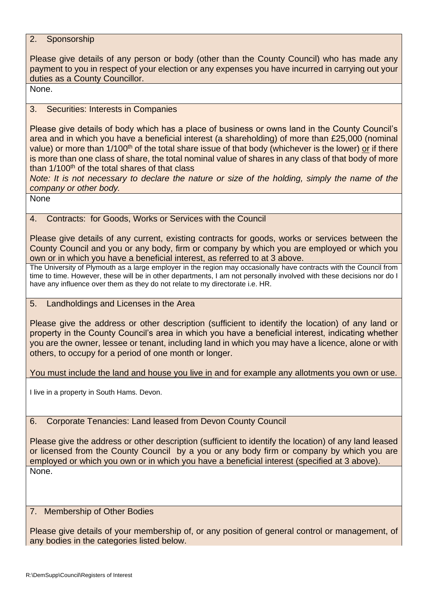## 2. Sponsorship

Please give details of any person or body (other than the County Council) who has made any payment to you in respect of your election or any expenses you have incurred in carrying out your duties as a County Councillor.

None.

## 3. Securities: Interests in Companies

Please give details of body which has a place of business or owns land in the County Council's area and in which you have a beneficial interest (a shareholding) of more than £25,000 (nominal value) or more than 1/100<sup>th</sup> of the total share issue of that body (whichever is the lower) or if there is more than one class of share, the total nominal value of shares in any class of that body of more than  $1/100<sup>th</sup>$  of the total shares of that class

*Note: It is not necessary to declare the nature or size of the holding, simply the name of the company or other body.* 

None

## 4. Contracts: for Goods, Works or Services with the Council

Please give details of any current, existing contracts for goods, works or services between the County Council and you or any body, firm or company by which you are employed or which you own or in which you have a beneficial interest, as referred to at 3 above.

The University of Plymouth as a large employer in the region may occasionally have contracts with the Council from time to time. However, these will be in other departments, I am not personally involved with these decisions nor do I have any influence over them as they do not relate to my directorate i.e. HR.

### 5. Landholdings and Licenses in the Area

Please give the address or other description (sufficient to identify the location) of any land or property in the County Council's area in which you have a beneficial interest, indicating whether you are the owner, lessee or tenant, including land in which you may have a licence, alone or with others, to occupy for a period of one month or longer.

You must include the land and house you live in and for example any allotments you own or use.

I live in a property in South Hams. Devon.

### 6. Corporate Tenancies: Land leased from Devon County Council

Please give the address or other description (sufficient to identify the location) of any land leased or licensed from the County Council by a you or any body firm or company by which you are employed or which you own or in which you have a beneficial interest (specified at 3 above). None.

### 7. Membership of Other Bodies

Please give details of your membership of, or any position of general control or management, of any bodies in the categories listed below.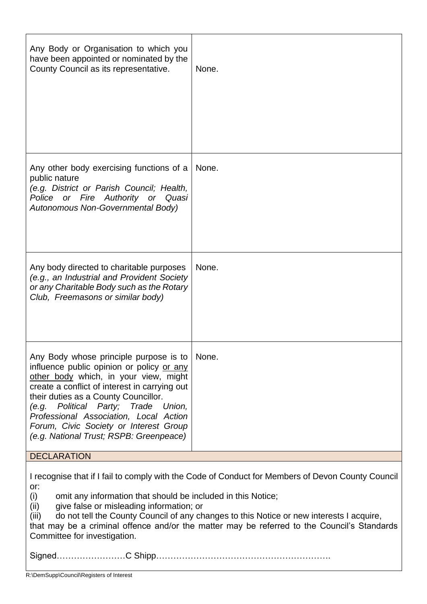| Any Body or Organisation to which you<br>have been appointed or nominated by the<br>County Council as its representative.                                                                                                                                                                                                                                                                                                                                               | None. |  |
|-------------------------------------------------------------------------------------------------------------------------------------------------------------------------------------------------------------------------------------------------------------------------------------------------------------------------------------------------------------------------------------------------------------------------------------------------------------------------|-------|--|
| Any other body exercising functions of a<br>public nature<br>(e.g. District or Parish Council; Health,<br>Police or Fire Authority or Quasi<br>Autonomous Non-Governmental Body)                                                                                                                                                                                                                                                                                        | None. |  |
| Any body directed to charitable purposes<br>(e.g., an Industrial and Provident Society<br>or any Charitable Body such as the Rotary<br>Club, Freemasons or similar body)                                                                                                                                                                                                                                                                                                | None. |  |
| Any Body whose principle purpose is to<br>influence public opinion or policy or any<br>other body which, in your view, might<br>create a conflict of interest in carrying out<br>their duties as a County Councillor.<br>(e.g. Political Party; Trade Union,<br>Professional Association, Local Action<br>Forum, Civic Society or Interest Group<br>(e.g. National Trust; RSPB: Greenpeace)                                                                             | None. |  |
| <b>DECLARATION</b>                                                                                                                                                                                                                                                                                                                                                                                                                                                      |       |  |
| I recognise that if I fail to comply with the Code of Conduct for Members of Devon County Council<br>or:<br>omit any information that should be included in this Notice;<br>(i)<br>give false or misleading information; or<br>(ii)<br>do not tell the County Council of any changes to this Notice or new interests I acquire,<br>(iii)<br>that may be a criminal offence and/or the matter may be referred to the Council's Standards<br>Committee for investigation. |       |  |